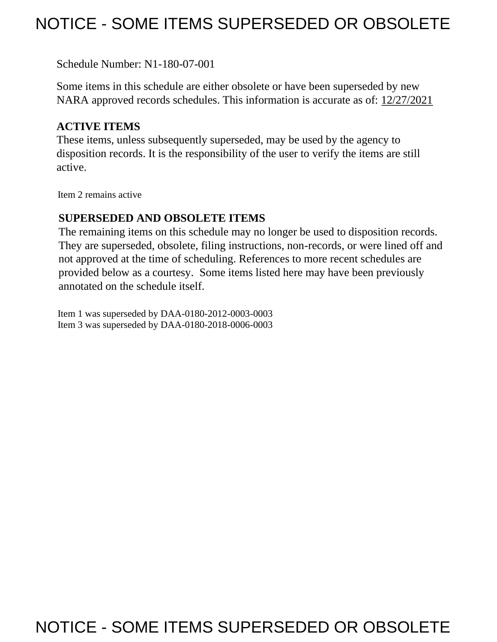## NOTICE - SOME ITEMS SUPERSEDED OR OBSOLETE

Schedule Number: N1-180-07-001

 Some items in this schedule are either obsolete or have been superseded by new NARA approved records schedules. This information is accurate as of: 12/27/2021

## **ACTIVE ITEMS**

 These items, unless subsequently superseded, may be used by the agency to disposition records. It is the responsibility of the user to verify the items are still active.

Item 2 remains active

## **SUPERSEDED AND OBSOLETE ITEMS**

 The remaining items on this schedule may no longer be used to disposition records. not approved at the time of scheduling. References to more recent schedules are provided below as a courtesy. Some items listed here may have been previously They are superseded, obsolete, filing instructions, non-records, or were lined off and annotated on the schedule itself.

Item 1 was superseded by DAA-0180-2012-0003-0003 Item 3 was superseded by DAA-0180-2018-0006-0003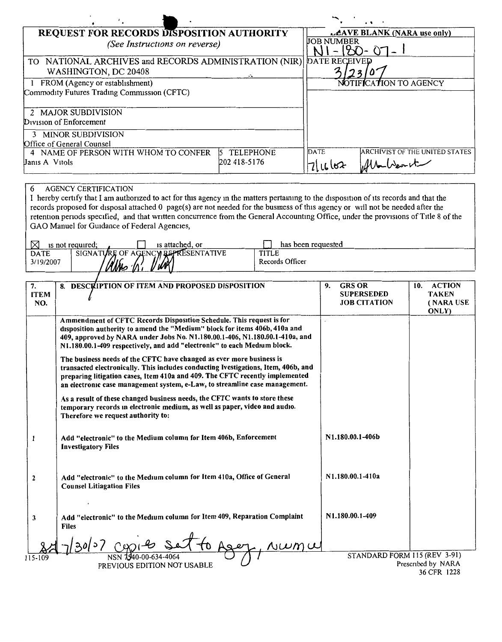|                                                            |                  |                            | $\cdot$ $\cdot$                       |
|------------------------------------------------------------|------------------|----------------------------|---------------------------------------|
| <b>REQUEST FOR RECORDS DISPOSITION AUTHORITY</b>           |                  | LAVE BLANK (NARA use only) |                                       |
| (See Instructions on reverse)                              |                  | <b>JOB NUMBER</b>          |                                       |
| NATIONAL ARCHIVES and RECORDS ADMINISTRATION (NIR)<br>TO - |                  | <b>DATE RECEIVED</b>       |                                       |
| WASHINGTON, DC 20408                                       |                  |                            |                                       |
| FROM (Agency or establishment)                             |                  |                            | NOTIFICATION TO AGENCY                |
| Commodity Futures Trading Commission (CFTC)                |                  |                            |                                       |
| 2 MAJOR SUBDIVISION                                        |                  |                            |                                       |
| Division of Enforcement                                    |                  |                            |                                       |
| <b>MINOR SUBDIVISION</b>                                   |                  |                            |                                       |
| Office of General Counsel                                  |                  |                            |                                       |
| 4 NAME OF PERSON WITH WHOM TO CONFER<br>15.                | <b>TELEPHONE</b> | DATE                       | <b>ARCHIVIST OF THE UNITED STATES</b> |
| Janis A Vitols                                             | 202 418-5176     | 71062                      | Alla Weart                            |
|                                                            |                  |                            |                                       |

## **AGENCY CERTIFICATION** 6

I hereby certify that I am authorized to act for this agency in the matters pertaining to the disposition of its records and that the records proposed for disposal attached 0 page(s) are not needed for the business of this agency or will not be needed after the retention periods specified, and that written concurrence from the General Accounting Office, under the provisions of Title 8 of the GAO Manuel for Guidance of Federal Agencies,

| ΓV<br>is not required:   | is attached, or                                             | has been requested              |
|--------------------------|-------------------------------------------------------------|---------------------------------|
| <b>DATE</b><br>3/19/2007 | SIGNATURE OF AGENCY BEPRESENTATIVE<br><b>W</b><br>MM<br>'IΛ | <b>TITLE</b><br>Records Officer |

| 7.           | 8. DESCRIPTION OF ITEM AND PROPOSED DISPOSITION                                    | <b>GRS OR</b><br>9.          | <b>ACTION</b><br>10. |
|--------------|------------------------------------------------------------------------------------|------------------------------|----------------------|
| <b>ITEM</b>  |                                                                                    | <b>SUPERSEDED</b>            | <b>TAKEN</b>         |
| NO.          |                                                                                    | <b>JOB CITATION</b>          | (NARA USE            |
|              |                                                                                    |                              | ONLY)                |
|              | Ammendment of CFTC Records Disposition Schedule. This request is for               |                              |                      |
|              | disposition authority to amend the "Medium" block for items 406b, 410a and         |                              |                      |
|              | 409, approved by NARA under Jobs No. N1.180.00.1-406, N1.180.00.1-410a, and        |                              |                      |
|              | N1.180.00.1-409 respectively, and add "electronic" to each Medium block.           |                              |                      |
|              |                                                                                    |                              |                      |
|              | The business needs of the CFTC have changed as ever more business is               |                              |                      |
|              | transacted electronically. This includes conducting Ivestigations, Item, 406b, and |                              |                      |
|              | preparing litigation cases, Item 410a and 409. The CFTC recently implemented       |                              |                      |
|              | an electronic case management system, e-Law, to streamline case management.        |                              |                      |
|              |                                                                                    |                              |                      |
|              | As a result of these changed business needs, the CFTC wants to store these         |                              |                      |
|              | temporary records in electronic medium, as well as paper, video and audio.         |                              |                      |
|              | Therefore we request authority to:                                                 |                              |                      |
|              |                                                                                    |                              |                      |
|              |                                                                                    | N1.180.00.1-406b             |                      |
|              | Add "electronic" to the Medium column for Item 406b, Enforcement                   |                              |                      |
|              | <b>Investigatory Files</b>                                                         |                              |                      |
|              |                                                                                    |                              |                      |
|              |                                                                                    |                              |                      |
| $\mathbf{2}$ | Add "electronic" to the Medium column for Item 410a, Office of General             | N1.180.00.1-410a             |                      |
|              | <b>Counsel Litiagation Files</b>                                                   |                              |                      |
|              |                                                                                    |                              |                      |
|              |                                                                                    |                              |                      |
|              |                                                                                    |                              |                      |
| 3            | Add "electronic" to the Medium column for Item 409, Reparation Complaint           | N1.180.00.1-409              |                      |
|              | <b>Files</b>                                                                       |                              |                      |
|              |                                                                                    |                              |                      |
|              |                                                                                    |                              |                      |
|              |                                                                                    |                              |                      |
| 115-109      | 1-00-634-4064                                                                      | STANDARD FORM 115 (REV 3-91) |                      |
|              | PREVIOUS EDITION NOT USABLE                                                        |                              | Prescribed by NARA   |
|              |                                                                                    |                              | 36 CFR 1228          |